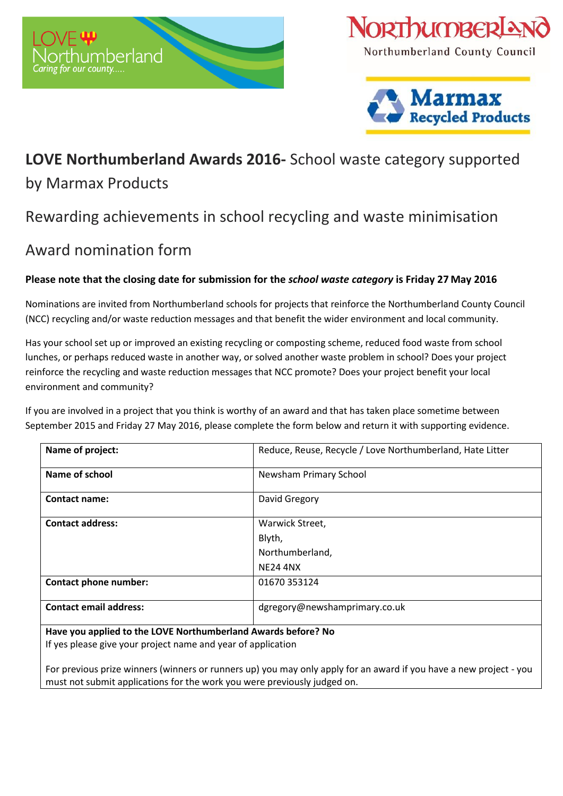



Northumberland County Council



## **LOVE Northumberland Awards 2016-** School waste category supported

## by Marmax Products

# Rewarding achievements in school recycling and waste minimisation

# Award nomination form

## **Please note that the closing date for submission for the** *school waste category* **is Friday 27 May 2016**

Nominations are invited from Northumberland schools for projects that reinforce the Northumberland County Council (NCC) recycling and/or waste reduction messages and that benefit the wider environment and local community.

Has your school set up or improved an existing recycling or composting scheme, reduced food waste from school lunches, or perhaps reduced waste in another way, or solved another waste problem in school? Does your project reinforce the recycling and waste reduction messages that NCC promote? Does your project benefit your local environment and community?

If you are involved in a project that you think is worthy of an award and that has taken place sometime between September 2015 and Friday 27 May 2016, please complete the form below and return it with supporting evidence.

| Name of project:                                              | Reduce, Reuse, Recycle / Love Northumberland, Hate Litter |
|---------------------------------------------------------------|-----------------------------------------------------------|
| Name of school                                                | Newsham Primary School                                    |
| <b>Contact name:</b>                                          | David Gregory                                             |
| <b>Contact address:</b>                                       | Warwick Street,                                           |
|                                                               | Blyth,                                                    |
|                                                               | Northumberland,                                           |
|                                                               | <b>NE24 4NX</b>                                           |
| Contact phone number:                                         | 01670 353124                                              |
| <b>Contact email address:</b>                                 | dgregory@newshamprimary.co.uk                             |
| Have you applied to the LOVE Northumberland Awards before? No |                                                           |

If yes please give your project name and year of application

For previous prize winners (winners or runners up) you may only apply for an award if you have a new project - you must not submit applications for the work you were previously judged on.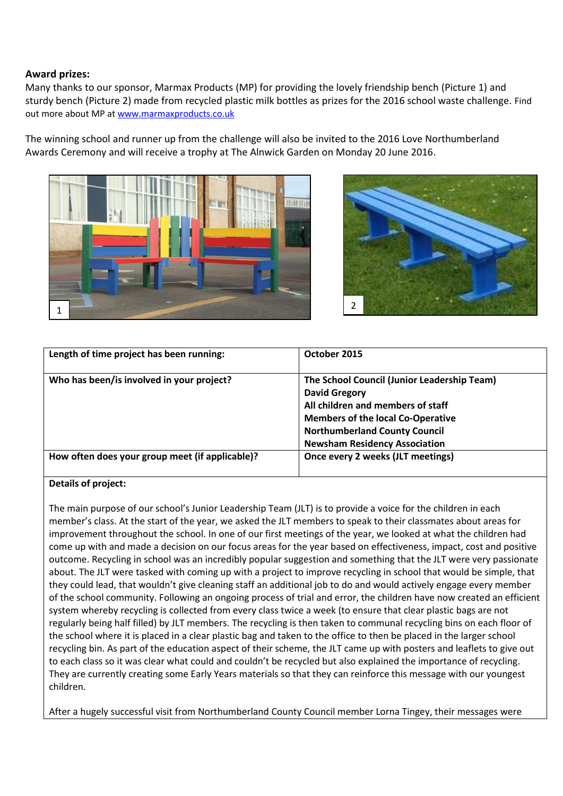### **Award prizes:**

Many thanks to our sponsor, Marmax Products (MP) for providing the lovely friendship bench (Picture 1) and sturdy bench (Picture 2) made from recycled plastic milk bottles as prizes for the 2016 school waste challenge. Find out more about MP at [www.marmaxproducts.co.uk](http://www.marmaxproducts.co.uk/)

The winning school and runner up from the challenge will also be invited to the 2016 Love Northumberland Awards Ceremony and will receive a trophy at The Alnwick Garden on Monday 20 June 2016.





| Length of time project has been running:        | October 2015                                                                                                                                                                                 |
|-------------------------------------------------|----------------------------------------------------------------------------------------------------------------------------------------------------------------------------------------------|
| Who has been/is involved in your project?       | The School Council (Junior Leadership Team)<br><b>David Gregory</b><br>All children and members of staff<br><b>Members of the local Co-Operative</b><br><b>Northumberland County Council</b> |
|                                                 | <b>Newsham Residency Association</b>                                                                                                                                                         |
| How often does your group meet (if applicable)? | Once every 2 weeks (JLT meetings)                                                                                                                                                            |

### **Details of project:**

The main purpose of our school's Junior Leadership Team (JLT) is to provide a voice for the children in each member's class. At the start of the year, we asked the JLT members to speak to their classmates about areas for improvement throughout the school. In one of our first meetings of the year, we looked at what the children had come up with and made a decision on our focus areas for the year based on effectiveness, impact, cost and positive outcome. Recycling in school was an incredibly popular suggestion and something that the JLT were very passionate about. The JLT were tasked with coming up with a project to improve recycling in school that would be simple, that they could lead, that wouldn't give cleaning staff an additional job to do and would actively engage every member of the school community. Following an ongoing process of trial and error, the children have now created an efficient system whereby recycling is collected from every class twice a week (to ensure that clear plastic bags are not regularly being half filled) by JLT members. The recycling is then taken to communal recycling bins on each floor of the school where it is placed in a clear plastic bag and taken to the office to then be placed in the larger school recycling bin. As part of the education aspect of their scheme, the JLT came up with posters and leaflets to give out to each class so it was clear what could and couldn't be recycled but also explained the importance of recycling. They are currently creating some Early Years materials so that they can reinforce this message with our youngest children.

After a hugely successful visit from Northumberland County Council member Lorna Tingey, their messages were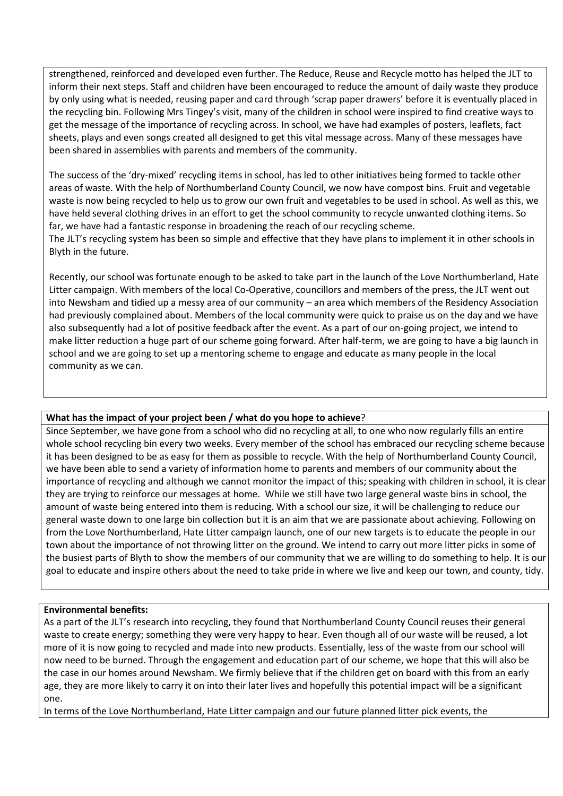strengthened, reinforced and developed even further. The Reduce, Reuse and Recycle motto has helped the JLT to inform their next steps. Staff and children have been encouraged to reduce the amount of daily waste they produce by only using what is needed, reusing paper and card through 'scrap paper drawers' before it is eventually placed in the recycling bin. Following Mrs Tingey's visit, many of the children in school were inspired to find creative ways to get the message of the importance of recycling across. In school, we have had examples of posters, leaflets, fact sheets, plays and even songs created all designed to get this vital message across. Many of these messages have been shared in assemblies with parents and members of the community.

The success of the 'dry-mixed' recycling items in school, has led to other initiatives being formed to tackle other areas of waste. With the help of Northumberland County Council, we now have compost bins. Fruit and vegetable waste is now being recycled to help us to grow our own fruit and vegetables to be used in school. As well as this, we have held several clothing drives in an effort to get the school community to recycle unwanted clothing items. So far, we have had a fantastic response in broadening the reach of our recycling scheme.

The JLT's recycling system has been so simple and effective that they have plans to implement it in other schools in Blyth in the future.

Recently, our school was fortunate enough to be asked to take part in the launch of the Love Northumberland, Hate Litter campaign. With members of the local Co-Operative, councillors and members of the press, the JLT went out into Newsham and tidied up a messy area of our community – an area which members of the Residency Association had previously complained about. Members of the local community were quick to praise us on the day and we have also subsequently had a lot of positive feedback after the event. As a part of our on-going project, we intend to make litter reduction a huge part of our scheme going forward. After half-term, we are going to have a big launch in school and we are going to set up a mentoring scheme to engage and educate as many people in the local community as we can.

#### **What has the impact of your project been / what do you hope to achieve**?

Since September, we have gone from a school who did no recycling at all, to one who now regularly fills an entire whole school recycling bin every two weeks. Every member of the school has embraced our recycling scheme because it has been designed to be as easy for them as possible to recycle. With the help of Northumberland County Council, we have been able to send a variety of information home to parents and members of our community about the importance of recycling and although we cannot monitor the impact of this; speaking with children in school, it is clear they are trying to reinforce our messages at home. While we still have two large general waste bins in school, the amount of waste being entered into them is reducing. With a school our size, it will be challenging to reduce our general waste down to one large bin collection but it is an aim that we are passionate about achieving. Following on from the Love Northumberland, Hate Litter campaign launch, one of our new targets is to educate the people in our town about the importance of not throwing litter on the ground. We intend to carry out more litter picks in some of the busiest parts of Blyth to show the members of our community that we are willing to do something to help. It is our goal to educate and inspire others about the need to take pride in where we live and keep our town, and county, tidy.

#### **Environmental benefits:**

As a part of the JLT's research into recycling, they found that Northumberland County Council reuses their general waste to create energy; something they were very happy to hear. Even though all of our waste will be reused, a lot more of it is now going to recycled and made into new products. Essentially, less of the waste from our school will now need to be burned. Through the engagement and education part of our scheme, we hope that this will also be the case in our homes around Newsham. We firmly believe that if the children get on board with this from an early age, they are more likely to carry it on into their later lives and hopefully this potential impact will be a significant one.

In terms of the Love Northumberland, Hate Litter campaign and our future planned litter pick events, the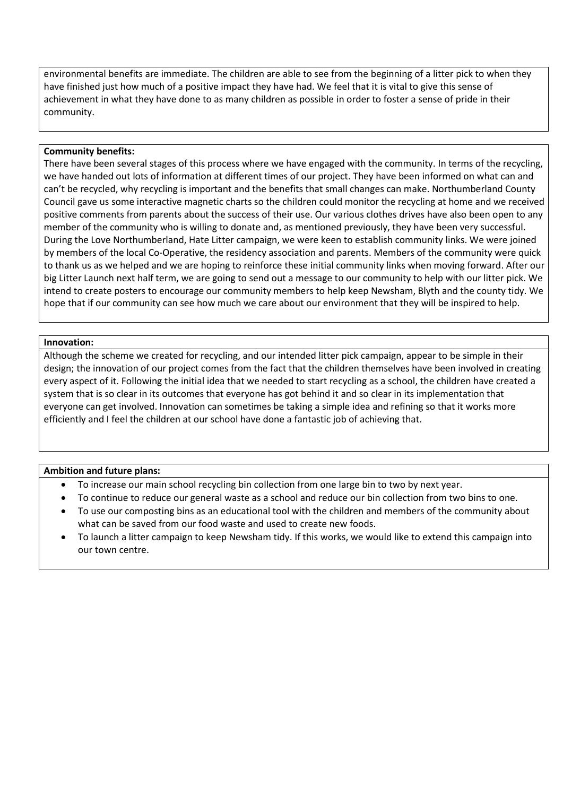environmental benefits are immediate. The children are able to see from the beginning of a litter pick to when they have finished just how much of a positive impact they have had. We feel that it is vital to give this sense of achievement in what they have done to as many children as possible in order to foster a sense of pride in their community.

#### **Community benefits:**

There have been several stages of this process where we have engaged with the community. In terms of the recycling, we have handed out lots of information at different times of our project. They have been informed on what can and can't be recycled, why recycling is important and the benefits that small changes can make. Northumberland County Council gave us some interactive magnetic charts so the children could monitor the recycling at home and we received positive comments from parents about the success of their use. Our various clothes drives have also been open to any member of the community who is willing to donate and, as mentioned previously, they have been very successful. During the Love Northumberland, Hate Litter campaign, we were keen to establish community links. We were joined by members of the local Co-Operative, the residency association and parents. Members of the community were quick to thank us as we helped and we are hoping to reinforce these initial community links when moving forward. After our big Litter Launch next half term, we are going to send out a message to our community to help with our litter pick. We intend to create posters to encourage our community members to help keep Newsham, Blyth and the county tidy. We hope that if our community can see how much we care about our environment that they will be inspired to help.

#### **Innovation:**

Although the scheme we created for recycling, and our intended litter pick campaign, appear to be simple in their design; the innovation of our project comes from the fact that the children themselves have been involved in creating every aspect of it. Following the initial idea that we needed to start recycling as a school, the children have created a system that is so clear in its outcomes that everyone has got behind it and so clear in its implementation that everyone can get involved. Innovation can sometimes be taking a simple idea and refining so that it works more efficiently and I feel the children at our school have done a fantastic job of achieving that.

#### **Ambition and future plans:**

- To increase our main school recycling bin collection from one large bin to two by next year.
- To continue to reduce our general waste as a school and reduce our bin collection from two bins to one.
- To use our composting bins as an educational tool with the children and members of the community about what can be saved from our food waste and used to create new foods.
- To launch a litter campaign to keep Newsham tidy. If this works, we would like to extend this campaign into our town centre.